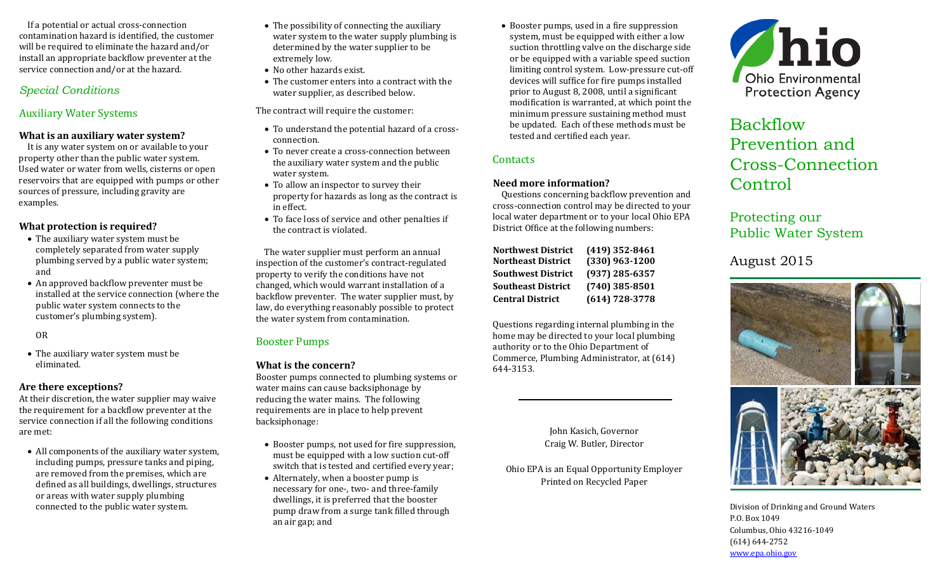If a potential or actual cross-connection contamination hazard is identified, the customer will be required to eliminate the hazard and/or install an appropriate backflow preventer at the service connection and/or at the hazard.

# *Special Conditions*

# Auxiliary Water Systems

#### **What is an auxiliary water system?**

It is any water system on or available to your property other than the public water system. Used water or water from wells, cisterns or open reservoirs that are equipped with pumps or other sources of pressure, including gravity are examples.

#### **What protection is required?**

- The auxiliary water system must be completely separated from water supply plumbing served by a public water system; and
- An approved backflow preventer must be installed at the service connection (where the public water system connects to the customer's plumbing system).

OR

• The auxiliary water system must be eliminated.

#### **Are there exceptions?**

At their discretion, the water supplier may waive the requirement for a backflow preventer at the service connection if all the following conditions are met:

• All components of the auxiliary water system, including pumps, pressure tanks and piping, are removed from the premises, which are defined as all buildings, dwellings, structures or areas with water supply plumbing connected to the public water system.

- The possibility of connecting the auxiliary water system to the water supply plumbing is determined by the water supplier to be extremely low.
- No other hazards exist.
- The customer enters into a contract with the water supplier, as described below.
- The contract will require the customer:
- To understand the potential hazard of a crossconnection.
- To never create a cross-connection between the auxiliary water system and the public water system.
- To allow an inspector to survey their property for hazards as long as the contract is in effect.
- To face loss of service and other penalties if the contract is violated.

The water supplier must perform an annual inspection of the customer's contract-regulated property to verify the conditions have not changed, which would warrant installation of a backflow preventer. The water supplier must, by law, do everything reasonably possible to protect the water system from contamination.

# Booster Pumps

# **What is the concern?**

Booster pumps connected to plumbing systems or water mains can cause backsiphonage by reducing the water mains. The following requirements are in place to help prevent backsiphonage:

- Booster pumps, not used for fire suppression, must be equipped with a low suction cut-off switch that is tested and certified every year;
- Alternately, when a booster pump is necessary for one-, two- and three-family dwellings, it is preferred that the booster pump draw from a surge tank filled through an air gap; and

• Booster pumps, used in a fire suppression system, must be equipped with either a low suction throttling valve on the discharge side or be equipped with a variable speed suction limiting control system. Low-pressure cut-off devices will suffice for fire pumps installed prior to August 8, 2008, until a significant modification is warranted, at which point the minimum pressure sustaining method must be updated. Each of these methods must be tested and certified each year.

# **Contacts**

#### **Need more information?**

Questions concerning backflow prevention and cross-connection control may be directed to your local water department or to your local Ohio EPA District Office at the following numbers:

| Northwest District        | $(419)$ 352-8461   |
|---------------------------|--------------------|
| Northeast District        | (330) 963-1200     |
| <b>Southwest District</b> | $(937)$ 285-6357   |
| <b>Southeast District</b> | $(740)$ 385-8501   |
| <b>Central District</b>   | $(614) 728 - 3778$ |

Questions regarding internal plumbing in the home may be directed to your local plumbing authority or to the Ohio Department of Commerce, Plumbing Administrator, at (614) 644-3153.

> John Kasich, Governor Craig W. Butler, Director

Ohio EPA is an Equal Opportunity Employer Printed on Recycled Paper



# Backflow Prevention and Cross-Connection Control

# Protecting our Public Water System

August 2015



Division of Drinking and Ground Waters P.O. Box 1049 Columbus, Ohio 43216-1049 (614) 644-2752 [www.epa.ohio.gov](http://www.epa.ohio.gov/)